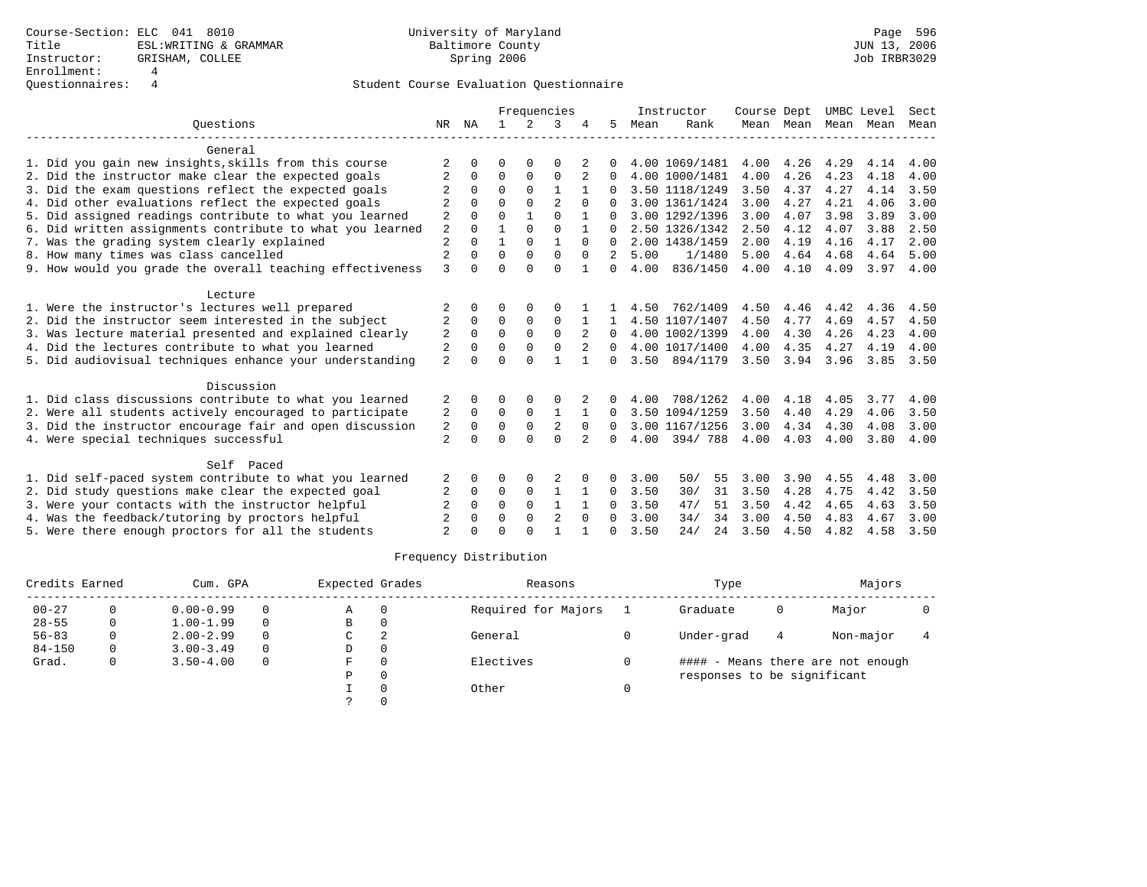|                |                     |          |             |                |                |              |      |           |                                                                                                                                                                                                                                                        |      |                     |                        | Sect               |
|----------------|---------------------|----------|-------------|----------------|----------------|--------------|------|-----------|--------------------------------------------------------------------------------------------------------------------------------------------------------------------------------------------------------------------------------------------------------|------|---------------------|------------------------|--------------------|
| NR             | ΝA                  |          | 2           | 3              |                | 5            | Mean | Rank      |                                                                                                                                                                                                                                                        |      |                     |                        | Mean               |
|                |                     |          |             |                |                |              |      |           |                                                                                                                                                                                                                                                        |      |                     |                        |                    |
|                |                     | ∩        |             | O              |                |              |      |           | 4.00                                                                                                                                                                                                                                                   | 4.26 | 4.29                | 4.14                   | 4.00               |
| 2              | $\Omega$            | $\Omega$ | $\Omega$    | $\Omega$       | 2              | $\Omega$     |      |           | 4.00                                                                                                                                                                                                                                                   | 4.26 | 4.23                | 4.18                   | 4.00               |
|                | $\Omega$            | $\Omega$ | $\Omega$    | $\mathbf{1}$   |                |              |      |           | 3.50                                                                                                                                                                                                                                                   | 4.37 | 4.27                | 4.14                   | 3.50               |
| $\overline{2}$ | $\cap$              | $\cap$   | $\Omega$    | $\mathfrak{D}$ | $\cap$         |              |      |           | 3.00                                                                                                                                                                                                                                                   | 4.27 | 4.21                | 4.06                   | 3.00               |
| 2              | $\Omega$            | $\Omega$ |             | $\Omega$       |                |              |      |           | 3.00                                                                                                                                                                                                                                                   | 4.07 | 3.98                | 3.89                   | 3.00               |
| $\overline{2}$ | $\Omega$            |          | $\Omega$    | $\Omega$       |                | $\Omega$     |      |           | 2.50                                                                                                                                                                                                                                                   | 4.12 | 4.07                | 3.88                   | 2.50               |
| $\overline{2}$ |                     |          | $\Omega$    | 1              | $\Omega$       | $\Omega$     |      |           | 2.00                                                                                                                                                                                                                                                   | 4.19 | 4.16                | 4.17                   | 2.00               |
|                |                     | $\Omega$ | $\Omega$    | $\Omega$       | $\Omega$       | 2            | 5.00 | 1/1480    | 5.00                                                                                                                                                                                                                                                   | 4.64 | 4.68                | 4.64                   | 5.00               |
|                | $\cap$              | $\Omega$ | $\cap$      | $\Omega$       |                | $\Omega$     | 4.00 |           |                                                                                                                                                                                                                                                        |      |                     | 3.97                   | 4.00               |
|                |                     |          |             |                |                |              |      |           |                                                                                                                                                                                                                                                        |      |                     |                        |                    |
| 2              |                     | ∩        |             | $\Omega$       |                |              | 4.50 | 762/1409  | 4.50                                                                                                                                                                                                                                                   | 4.46 | 4.42                | 4.36                   | 4.50               |
| 2              | $\Omega$            | $\Omega$ | $\Omega$    | $\Omega$       |                | $\mathbf{1}$ |      |           | 4.50                                                                                                                                                                                                                                                   | 4.77 | 4.69                | 4.57                   | 4.50               |
| 2              | $\Omega$            | $\Omega$ | $\Omega$    | $\Omega$       | 2              | $\Omega$     |      |           | 4.00                                                                                                                                                                                                                                                   | 4.30 | 4.26                | 4.23                   | 4.00               |
| 2              | $\Omega$            | $\Omega$ | $\Omega$    | $\Omega$       | $\overline{2}$ | $\Omega$     |      |           | 4.00                                                                                                                                                                                                                                                   | 4.35 | 4.27                | 4.19                   | 4.00               |
| $\overline{2}$ | $\cap$              | $\Omega$ | $\cap$      |                |                | $\Omega$     |      | 894/1179  | 3.50                                                                                                                                                                                                                                                   | 3.94 | 3.96                | 3.85                   | 3.50               |
|                |                     |          |             |                |                |              |      |           |                                                                                                                                                                                                                                                        |      |                     |                        |                    |
| 2              |                     | $\Omega$ | $\Omega$    | $\Omega$       |                | 0            | 4.00 | 708/1262  | 4.00                                                                                                                                                                                                                                                   | 4.18 | 4.05                | 3.77                   | 4.00               |
| 2              | $\Omega$            | $\Omega$ | $\Omega$    |                |                | 0            |      |           | 3.50                                                                                                                                                                                                                                                   | 4.40 | 4.29                | 4.06                   | 3.50               |
| 2              | $\mathbf 0$         | 0        | $\Omega$    | 2              | $\Omega$       | $\Omega$     |      |           | 3.00                                                                                                                                                                                                                                                   | 4.34 | 4.30                | 4.08                   | 3.00               |
| $\overline{2}$ |                     | $\Omega$ | $\Omega$    | $\Omega$       | 2              | 0            | 4.00 | 394/788   | 4.00                                                                                                                                                                                                                                                   | 4.03 | 4.00                | 3.80                   | 4.00               |
|                |                     |          |             |                |                |              |      |           |                                                                                                                                                                                                                                                        |      |                     |                        |                    |
| 2              |                     | $\Omega$ | 0           |                |                | $\Omega$     | 3.00 | 50/<br>55 | 3.00                                                                                                                                                                                                                                                   | 3.90 | 4.55                | 4.48                   | 3.00               |
| 2              | 0                   | 0        | $\mathbf 0$ | 1              |                | $\Omega$     | 3.50 | 30/<br>31 | 3.50                                                                                                                                                                                                                                                   | 4.28 | 4.75                | 4.42                   | 3.50               |
| 2              | $\Omega$            | $\Omega$ | $\Omega$    | 1              |                | 0            | 3.50 | 47/<br>51 | 3.50                                                                                                                                                                                                                                                   | 4.42 | 4.65                | 4.63                   | 3.50               |
| $\overline{2}$ | $\Omega$            | $\Omega$ | $\Omega$    | $\overline{2}$ | $\Omega$       | 0            | 3.00 | 34/<br>34 | 3.00                                                                                                                                                                                                                                                   | 4.50 | 4.83                | 4.67                   | 3.00               |
| $\mathfrak{D}$ |                     | $\Omega$ | $\cap$      |                |                | $\cap$       | 3.50 | 24/<br>24 | 3.50                                                                                                                                                                                                                                                   | 4.50 | 4.82                | 4.58                   | 3.50               |
|                | $\overline{2}$<br>3 |          |             |                |                | Frequencies  |      |           | Instructor<br>4.00 1069/1481<br>4.00 1000/1481<br>3.50 1118/1249<br>3.00 1361/1424<br>3.00 1292/1396<br>2.50 1326/1342<br>2.00 1438/1459<br>836/1450<br>4.50 1107/1407<br>4.00 1002/1399<br>4.00 1017/1400<br>3.50<br>3.50 1094/1259<br>3.00 1167/1256 | 4.00 | Course Dept<br>4.10 | Mean Mean Mean<br>4.09 | UMBC Level<br>Mean |

| Credits Earned |   | Cum. GPA      |          | Expected Grades |          | Reasons             | Type                        |   | Majors                            |  |
|----------------|---|---------------|----------|-----------------|----------|---------------------|-----------------------------|---|-----------------------------------|--|
| $00 - 27$      |   | $0.00 - 0.99$ | $\Omega$ | Α               |          | Required for Majors | Graduate                    | 0 | Major                             |  |
| $28 - 55$      | 0 | $1.00 - 1.99$ | $\Omega$ | B               |          |                     |                             |   |                                   |  |
| $56 - 83$      |   | $2.00 - 2.99$ | $\Omega$ | C               |          | General             | Under-grad                  | 4 | Non-major                         |  |
| $84 - 150$     |   | $3.00 - 3.49$ | $\Omega$ | D               | $\Omega$ |                     |                             |   |                                   |  |
| Grad.          |   | $3.50 - 4.00$ | 0        | F               |          | Electives           |                             |   | #### - Means there are not enough |  |
|                |   |               |          | Ρ               |          |                     | responses to be significant |   |                                   |  |
|                |   |               |          |                 |          | Other               |                             |   |                                   |  |
|                |   |               |          |                 |          |                     |                             |   |                                   |  |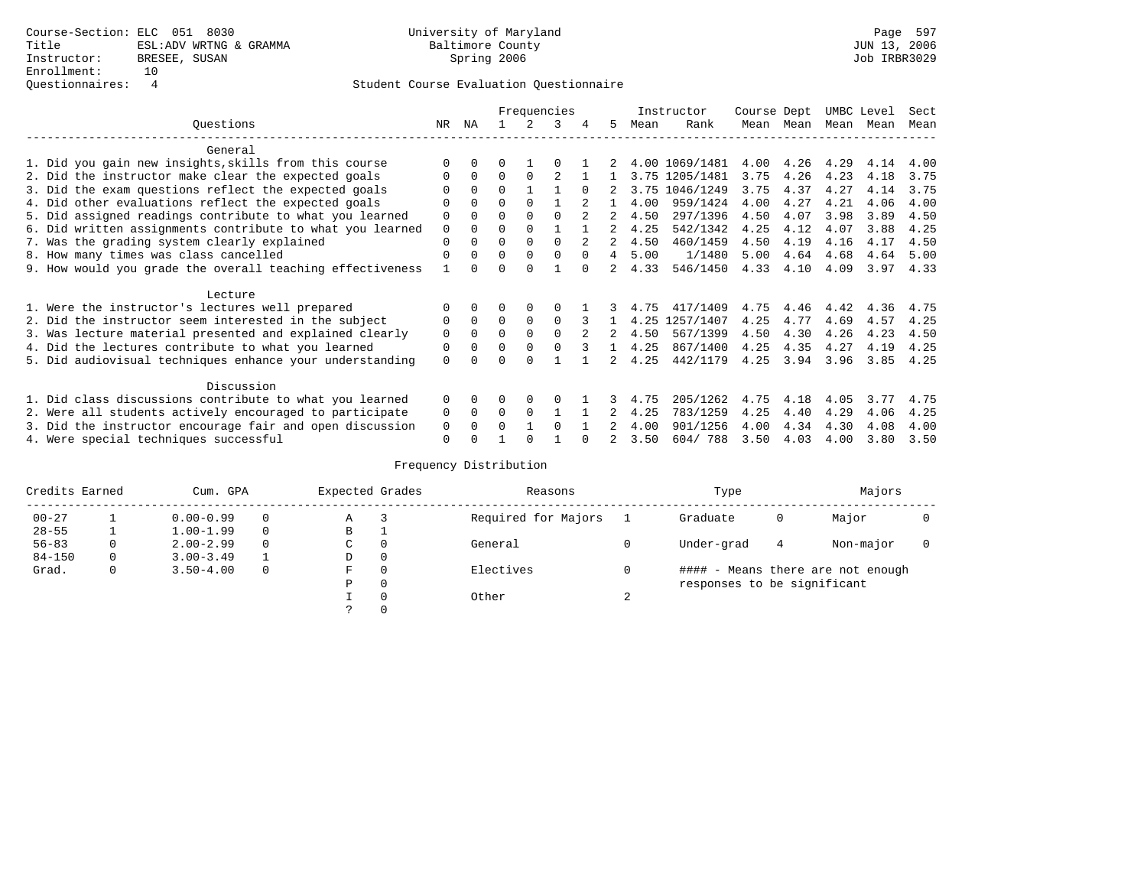|                                                           |             |          |              |          | Frequencies |          |                |      | Instructor     | Course Dept |      | UMBC Level |      | Sect |
|-----------------------------------------------------------|-------------|----------|--------------|----------|-------------|----------|----------------|------|----------------|-------------|------|------------|------|------|
| Ouestions                                                 | NR.         | ΝA       |              |          | 3           | 4        | 5.             | Mean | Rank           | Mean        | Mean | Mean       | Mean | Mean |
| General                                                   |             |          |              |          |             |          |                |      |                |             |      |            |      |      |
| 1. Did you gain new insights, skills from this course     |             | 0        | 0            |          |             |          |                |      | 4.00 1069/1481 | 4.00        | 4.26 | 4.29       | 4.14 | 4.00 |
| 2. Did the instructor make clear the expected goals       | O           | $\Omega$ | $\Omega$     | $\Omega$ |             |          |                |      | 3.75 1205/1481 | 3.75        | 4.26 | 4.23       | 4.18 | 3.75 |
| 3. Did the exam questions reflect the expected goals      |             | $\Omega$ | $\Omega$     |          |             | $\Omega$ |                |      | 3.75 1046/1249 | 3.75        | 4.37 | 4.27       | 4.14 | 3.75 |
| 4. Did other evaluations reflect the expected goals       | $\Omega$    | $\Omega$ | $\Omega$     | $\Omega$ |             |          |                | 4.00 | 959/1424       | 4.00        | 4.27 | 4.21       | 4.06 | 4.00 |
| 5. Did assigned readings contribute to what you learned   | 0           |          |              |          | 0           |          |                | 4.50 | 297/1396       | 4.50        | 4.07 | 3.98       | 3.89 | 4.50 |
| 6. Did written assignments contribute to what you learned | $\mathbf 0$ | $\Omega$ |              |          |             |          | 2              | 4.25 | 542/1342       | 4.25        | 4.12 | 4.07       | 3.88 | 4.25 |
| 7. Was the grading system clearly explained               | $\mathbf 0$ |          | $\Omega$     | $\Omega$ | $\cap$      |          |                | 4.50 | 460/1459       | 4.50        | 4.19 | 4.16       | 4.17 | 4.50 |
| 8. How many times was class cancelled                     | $\Omega$    | $\Omega$ | $\Omega$     | $\Omega$ | $\Omega$    | $\Omega$ | $\overline{4}$ | 5.00 | 1/1480         | 5.00        | 4.64 | 4.68       | 4.64 | 5.00 |
| 9. How would you grade the overall teaching effectiveness |             |          | U            | $\cap$   |             |          | 2              | 4.33 | 546/1450       | 4.33        | 4.10 | 4.09       | 3.97 | 4.33 |
|                                                           |             |          |              |          |             |          |                |      |                |             |      |            |      |      |
| Lecture                                                   |             |          |              |          |             |          |                |      |                |             |      |            |      |      |
| 1. Were the instructor's lectures well prepared           |             |          |              |          |             |          |                | 4.75 | 417/1409       | 4.75        | 4.46 | 4.42       | 4.36 | 4.75 |
| 2. Did the instructor seem interested in the subject      | 0           | $\Omega$ | $\Omega$     | $\Omega$ | $\Omega$    | 3        |                |      | 4.25 1257/1407 | 4.25        | 4.77 | 4.69       | 4.57 | 4.25 |
| 3. Was lecture material presented and explained clearly   | $\mathbf 0$ | $\Omega$ | $\Omega$     | $\Omega$ | $\Omega$    |          |                | 4.50 | 567/1399       | 4.50        | 4.30 | 4.26       | 4.23 | 4.50 |
| 4. Did the lectures contribute to what you learned        | 0           | $\Omega$ | $\Omega$     | $\Omega$ | $\Omega$    |          |                | 4.25 | 867/1400       | 4.25        | 4.35 | 4.27       | 4.19 | 4.25 |
| 5. Did audiovisual techniques enhance your understanding  | $\Omega$    |          |              |          |             |          |                | 4.25 | 442/1179       | 4.25        | 3.94 | 3.96       | 3.85 | 4.25 |
|                                                           |             |          |              |          |             |          |                |      |                |             |      |            |      |      |
| Discussion                                                |             |          |              |          |             |          |                |      |                |             |      |            |      |      |
| 1. Did class discussions contribute to what you learned   | $\Omega$    | $\Omega$ |              | $\Omega$ | $\Omega$    |          |                | 4.75 | 205/1262       | 4.75        | 4.18 | 4.05       | 3.77 | 4.75 |
| 2. Were all students actively encouraged to participate   | 0           | $\Omega$ | $\Omega$     | $\Omega$ |             |          |                | 4.25 | 783/1259       | 4.25        | 4.40 | 4.29       | 4.06 | 4.25 |
| 3. Did the instructor encourage fair and open discussion  | 0           | $\Omega$ | <sup>n</sup> |          | $\Omega$    |          |                | 4.00 | 901/1256       | 4.00        | 4.34 | 4.30       | 4.08 | 4.00 |
| 4. Were special techniques successful                     | $\mathbf 0$ |          |              |          |             |          |                | 3.50 | 604/788        | 3.50        | 4.03 | 4.00       | 3.80 | 3.50 |

| Credits Earned |   | Cum. GPA      |   | Expected Grades |          | Reasons             |        | Type                        |   | Majors                            |  |
|----------------|---|---------------|---|-----------------|----------|---------------------|--------|-----------------------------|---|-----------------------------------|--|
| $00 - 27$      |   | $0.00 - 0.99$ |   | Α               |          | Required for Majors |        | Graduate                    | 0 | Major                             |  |
| $28 - 55$      |   | $1.00 - 1.99$ |   | В               |          |                     |        |                             |   |                                   |  |
| $56 - 83$      | 0 | $2.00 - 2.99$ | 0 | $\sim$<br>◡     | $\Omega$ | General             |        | Under-grad                  | 4 | Non-major                         |  |
| $84 - 150$     | 0 | $3.00 - 3.49$ |   | D               | 0        |                     |        |                             |   |                                   |  |
| Grad.          | 0 | $3.50 - 4.00$ |   | F               | 0        | Electives           |        |                             |   | #### - Means there are not enough |  |
|                |   |               |   | Ρ               | 0        |                     |        | responses to be significant |   |                                   |  |
|                |   |               |   |                 | 0        | Other               | $\sim$ |                             |   |                                   |  |
|                |   |               |   | C.              |          |                     |        |                             |   |                                   |  |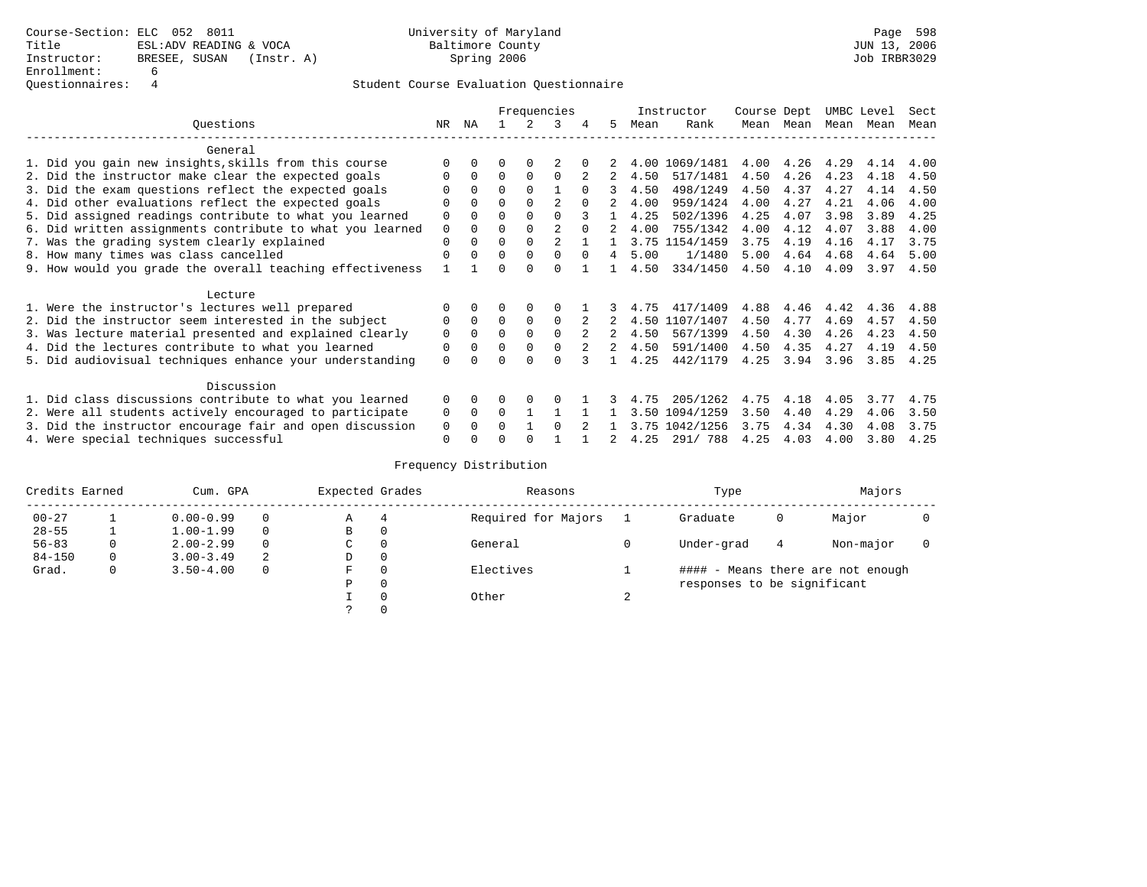|                                                           |             |          |          |          | Frequencies    |          |               |      | Instructor | Course Dept |      | UMBC Level |      | Sect |
|-----------------------------------------------------------|-------------|----------|----------|----------|----------------|----------|---------------|------|------------|-------------|------|------------|------|------|
| Ouestions                                                 | NR.         | ΝA       |          |          | 3              |          | 5.            | Mean | Rank       | Mean        | Mean | Mean       | Mean | Mean |
| General                                                   |             |          |          |          |                |          |               |      |            |             |      |            |      |      |
| 1. Did you gain new insights, skills from this course     |             | $\Omega$ | O        | $\Omega$ |                |          |               | 4.00 | 1069/1481  | 4.00        | 4.26 | 4.29       | 4.14 | 4.00 |
| 2. Did the instructor make clear the expected goals       |             | $\Omega$ | $\Omega$ | $\Omega$ | $\Omega$       |          |               | 4.50 | 517/1481   | 4.50        | 4.26 | 4.23       | 4.18 | 4.50 |
| 3. Did the exam questions reflect the expected goals      |             | $\Omega$ | 0        | $\Omega$ |                | $\Omega$ | 3             | 4.50 | 498/1249   | 4.50        | 4.37 | 4.27       | 4.14 | 4.50 |
| 4. Did other evaluations reflect the expected goals       | O           | $\Omega$ | $\Omega$ | $\Omega$ | $\overline{c}$ |          |               | 4.00 | 959/1424   | 4.00        | 4.27 | 4.21       | 4.06 | 4.00 |
| 5. Did assigned readings contribute to what you learned   | $\mathbf 0$ |          |          |          | 0              |          |               | 4.25 | 502/1396   | 4.25        | 4.07 | 3.98       | 3.89 | 4.25 |
| 6. Did written assignments contribute to what you learned | $\mathbf 0$ | $\Omega$ |          |          | $\mathfrak{D}$ | $\cap$   |               | 4.00 | 755/1342   | 4.00        | 4.12 | 4.07       | 3.88 | 4.00 |
| 7. Was the grading system clearly explained               | $\Omega$    | $\Omega$ | $\Omega$ | $\Omega$ |                |          |               | 3.75 | 1154/1459  | 3.75        | 4.19 | 4.16       | 4.17 | 3.75 |
| 8. How many times was class cancelled                     | $\Omega$    | $\Omega$ | $\Omega$ | $\Omega$ | $\Omega$       | $\Omega$ | 4             | 5.00 | 1/1480     | 5.00        | 4.64 | 4.68       | 4.64 | 5.00 |
| 9. How would you grade the overall teaching effectiveness |             |          | U        | ∩        | U              |          |               | 4.50 | 334/1450   | 4.50        | 4.10 | 4.09       | 3.97 | 4.50 |
| Lecture                                                   |             |          |          |          |                |          |               |      |            |             |      |            |      |      |
| 1. Were the instructor's lectures well prepared           |             |          |          |          |                |          |               | 4.75 | 417/1409   | 4.88        | 4.46 | 4.42       | 4.36 | 4.88 |
| 2. Did the instructor seem interested in the subject      | 0           | $\Omega$ | $\Omega$ | $\Omega$ | $\Omega$       |          |               | 4.50 | 1107/1407  | 4.50        | 4.77 | 4.69       | 4.57 | 4.50 |
| 3. Was lecture material presented and explained clearly   | $\mathbf 0$ | $\Omega$ | $\Omega$ | $\Omega$ | $\Omega$       |          |               | 4.50 | 567/1399   | 4.50        | 4.30 | 4.26       | 4.23 | 4.50 |
| 4. Did the lectures contribute to what you learned        | 0           | $\Omega$ | $\Omega$ | $\Omega$ |                |          | $\mathcal{L}$ | 4.50 | 591/1400   | 4.50        | 4.35 | 4.27       | 4.19 | 4.50 |
| 5. Did audiovisual techniques enhance your understanding  | $\Omega$    |          |          |          | ∩              |          |               | 4.25 | 442/1179   | 4.25        | 3.94 | 3.96       | 3.85 | 4.25 |
|                                                           |             |          |          |          |                |          |               |      |            |             |      |            |      |      |
| Discussion                                                |             |          |          |          |                |          |               |      |            |             |      |            |      |      |
| 1. Did class discussions contribute to what you learned   | $\Omega$    | $\Omega$ | U        | $\Omega$ |                |          |               | 4.75 | 205/1262   | 4.75        | 4.18 | 4.05       | 3.77 | 4.75 |
| 2. Were all students actively encouraged to participate   | 0           | $\Omega$ | $\Omega$ |          |                |          |               | 3.50 | 1094/1259  | 3.50        | 4.40 | 4.29       | 4.06 | 3.50 |
| 3. Did the instructor encourage fair and open discussion  |             |          | 0        |          | $\Omega$       |          |               | 3.75 | 1042/1256  | 3.75        | 4.34 | 4.30       | 4.08 | 3.75 |
| 4. Were special techniques successful                     | $\Omega$    |          |          |          |                |          |               | 4.25 | 291/788    | 4.25        | 4.03 | 4.00       | 3.80 | 4.25 |

| Credits Earned |          | Cum. GPA      |   | Expected Grades |          | Reasons             |        | Type                        |   | Majors                            |  |
|----------------|----------|---------------|---|-----------------|----------|---------------------|--------|-----------------------------|---|-----------------------------------|--|
| $00 - 27$      |          | $0.00 - 0.99$ |   | Α               | 4        | Required for Majors |        | Graduate                    | 0 | Major                             |  |
| $28 - 55$      |          | $1.00 - 1.99$ |   | B               | 0        |                     |        |                             |   |                                   |  |
| $56 - 83$      | $\Omega$ | $2.00 - 2.99$ |   | C               | 0        | General             |        | Under-grad                  | 4 | Non-major                         |  |
| $84 - 150$     | 0        | $3.00 - 3.49$ | 2 | D               | 0        |                     |        |                             |   |                                   |  |
| Grad.          | 0        | $3.50 - 4.00$ |   | F               | 0        | Electives           |        |                             |   | #### - Means there are not enough |  |
|                |          |               |   | Ρ               | 0        |                     |        | responses to be significant |   |                                   |  |
|                |          |               |   |                 | $\Omega$ | Other               | $\sim$ |                             |   |                                   |  |
|                |          |               |   |                 |          |                     |        |                             |   |                                   |  |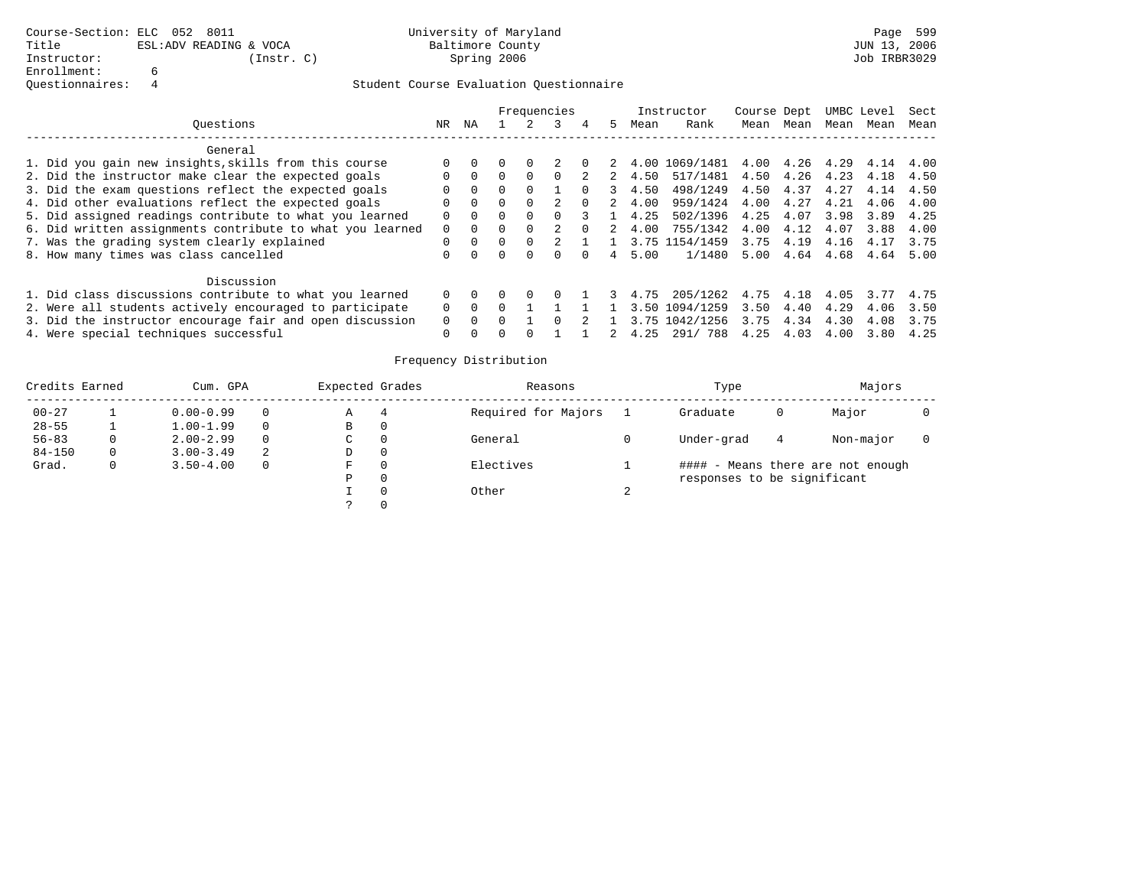|                                                           |          |          |              |          | Frequencies |          |   |      | Instructor     | Course Dept |      |      | UMBC Level | Sect |
|-----------------------------------------------------------|----------|----------|--------------|----------|-------------|----------|---|------|----------------|-------------|------|------|------------|------|
| Ouestions                                                 | NR.      | ΝA       |              |          |             | 4        | 5 | Mean | Rank           | Mean        | Mean | Mean | Mean       | Mean |
| General                                                   |          |          |              |          |             |          |   |      |                |             |      |      |            |      |
| 1. Did you gain new insights, skills from this course     |          |          |              |          |             |          |   |      | 4.00 1069/1481 | 4.00        | 4.26 | 4.29 | 4.14       | 4.00 |
| 2. Did the instructor make clear the expected goals       |          | $\Omega$ |              | $\Omega$ |             |          |   | 4.50 | 517/1481       | 4.50        | 4.26 | 4.23 | 4.18       | 4.50 |
| 3. Did the exam questions reflect the expected goals      |          | $\Omega$ |              |          |             |          |   | 4.50 | 498/1249       | 4.50        | 4.37 | 4.27 | 4.14       | 4.50 |
| 4. Did other evaluations reflect the expected goals       | $\Omega$ | $\Omega$ | <sup>0</sup> | $\Omega$ |             | $\Omega$ |   | 4.00 | 959/1424       | 4.00        | 4.27 | 4.21 | 4.06       | 4.00 |
| 5. Did assigned readings contribute to what you learned   |          | $\Omega$ | 0            | $\Omega$ |             |          |   | 4.25 | 502/1396       | 4.25        | 4.07 | 3.98 | 3.89       | 4.25 |
| 6. Did written assignments contribute to what you learned | $\Omega$ | $\Omega$ |              | $\Omega$ |             |          |   | 4.00 | 755/1342       | 4.00        | 4.12 | 4.07 | 3.88       | 4.00 |
| 7. Was the grading system clearly explained               | 0        | $\Omega$ | <sup>0</sup> | $\Omega$ |             |          |   |      | 3.75 1154/1459 | 3.75        | 4.19 | 4.16 | 4.17       | 3.75 |
| 8. How many times was class cancelled                     |          |          |              | 0        |             |          | 4 | 5.00 | 1/1480         | 5.00        | 4.64 | 4.68 | 4.64       | 5.00 |
| Discussion                                                |          |          |              |          |             |          |   |      |                |             |      |      |            |      |
| 1. Did class discussions contribute to what you learned   | $\Omega$ |          |              | $\Omega$ |             |          |   | 4.75 | 205/1262       | 4.75        | 4.18 | 4.05 | 3.77       | 4.75 |
| 2. Were all students actively encouraged to participate   |          | $\Omega$ |              |          |             |          |   | 3.50 | 1094/1259      | 3.50        | 4.40 | 4.29 | 4.06       | 3.50 |
| 3. Did the instructor encourage fair and open discussion  |          |          |              |          |             |          |   | 3.75 | 1042/1256      | 3.75        | 4.34 | 4.30 | 4.08       | 3.75 |
| 4. Were special techniques successful                     | O        |          |              |          |             |          |   | 4.25 | 788<br>291/    | 4.25        | 4.03 | 4.00 | 3.80       | 4.25 |

| Credits Earned |   | Cum. GPA      |          | Expected Grades |          | Reasons             | Type                        |   | Majors                            |  |
|----------------|---|---------------|----------|-----------------|----------|---------------------|-----------------------------|---|-----------------------------------|--|
| $00 - 27$      |   | $0.00 - 0.99$ | 0        | Α               |          | Required for Majors | Graduate                    | 0 | Major                             |  |
| $28 - 55$      |   | $1.00 - 1.99$ | $\Omega$ | В               | 0        |                     |                             |   |                                   |  |
| $56 - 83$      | 0 | $2.00 - 2.99$ | 0        | C               | 0        | General             | Under-grad                  | 4 | Non-major                         |  |
| $84 - 150$     | 0 | $3.00 - 3.49$ | 2        | D               | $\Omega$ |                     |                             |   |                                   |  |
| Grad.          | 0 | $3.50 - 4.00$ | $\Omega$ | F.              | $\Omega$ | Electives           |                             |   | #### - Means there are not enough |  |
|                |   |               |          | Ρ               | $\Omega$ |                     | responses to be significant |   |                                   |  |
|                |   |               |          |                 |          | Other               |                             |   |                                   |  |
|                |   |               |          |                 |          |                     |                             |   |                                   |  |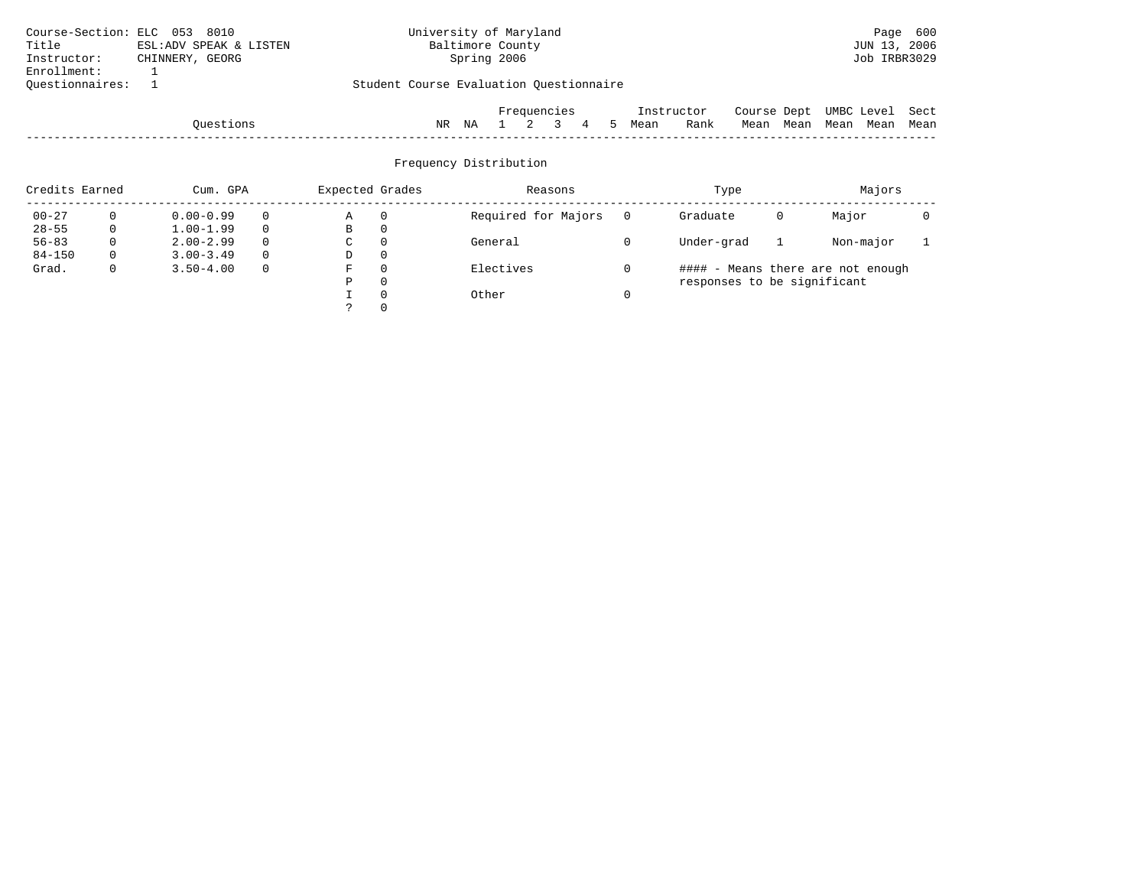| Course-Section: ELC 053 8010 |                        | University of Maryland                  | Page 600                       |
|------------------------------|------------------------|-----------------------------------------|--------------------------------|
| Title                        | ESL:ADV SPEAK & LISTEN | Baltimore County                        | JUN 13, 2006                   |
| Instructor:                  | CHINNERY, GEORG        | Spring 2006                             | Job IRBR3029                   |
| Enrollment:                  |                        |                                         |                                |
| Ouestionnaires:              |                        | Student Course Evaluation Questionnaire |                                |
|                              |                        | Frequencies<br>Instructor               | UMBC Level Sect<br>Course Dept |
|                              | Ouestions              | <b>Bank</b><br>Mean                     | Mean Mean Mean Mean Mean       |

| Ouestion | T<br>NR. | T T<br>ΝA |  |  | Mean | ロっぃ<br>naur | . 15au | Mean | Mear | Mean | Mean |
|----------|----------|-----------|--|--|------|-------------|--------|------|------|------|------|
| -----    |          |           |  |  |      |             |        |      |      |      |      |

| Credits Earned |              | Cum. GPA      |          | Expected Grades |          | Reasons             | Type                        |   | Majors                            |  |
|----------------|--------------|---------------|----------|-----------------|----------|---------------------|-----------------------------|---|-----------------------------------|--|
| $00 - 27$      |              | $0.00 - 0.99$ |          | Α               | $\Omega$ | Required for Majors | Graduate                    | 0 | Major                             |  |
| $28 - 55$      | $\mathbf{0}$ | $1.00 - 1.99$ | $\Omega$ | В               | 0        |                     |                             |   |                                   |  |
| $56 - 83$      |              | $2.00 - 2.99$ |          | C.              | $\Omega$ | General             | Under-grad                  |   | Non-major                         |  |
| $84 - 150$     | 0            | $3.00 - 3.49$ | $\Omega$ | D               | 0        |                     |                             |   |                                   |  |
| Grad.          | $\mathbf{0}$ | $3.50 - 4.00$ | $\Omega$ | F               | $\Omega$ | Electives           |                             |   | #### - Means there are not enough |  |
|                |              |               |          | D               | $\Omega$ |                     | responses to be significant |   |                                   |  |
|                |              |               |          |                 | $\Omega$ | Other               |                             |   |                                   |  |
|                |              |               |          |                 |          |                     |                             |   |                                   |  |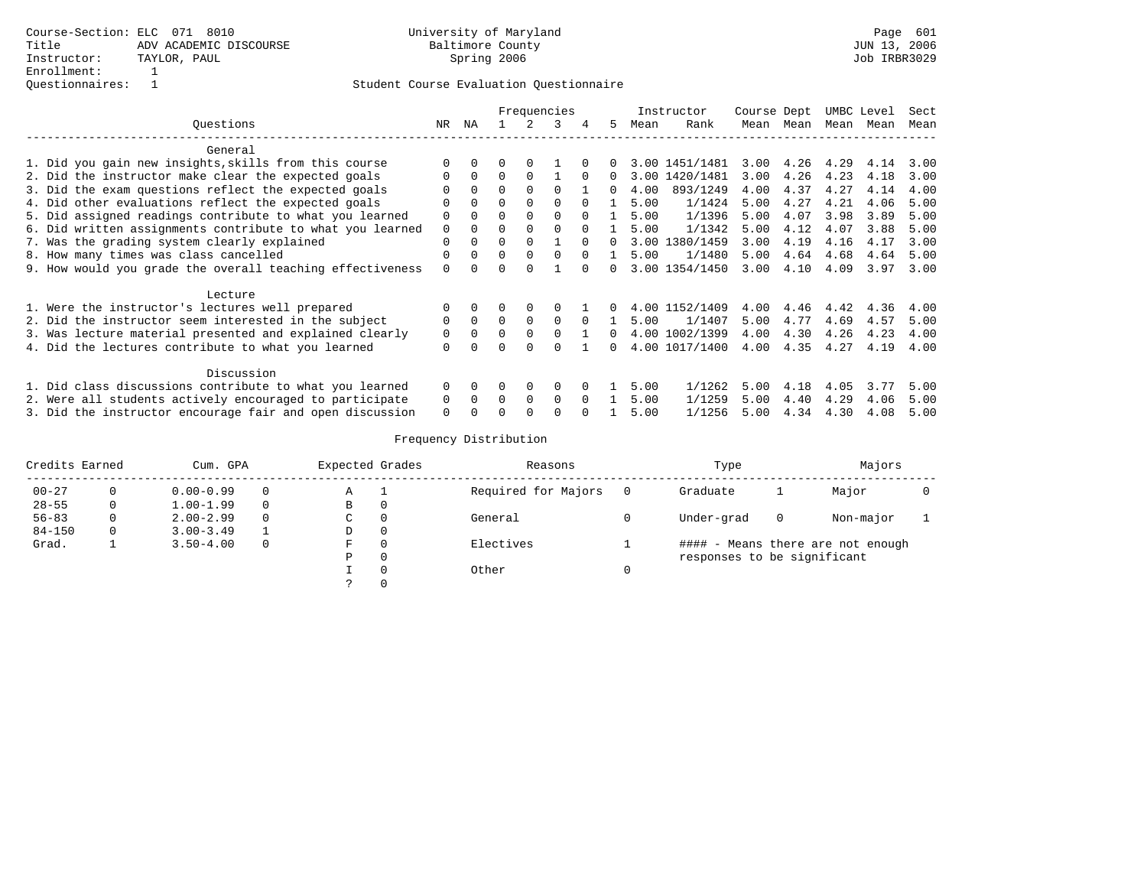|                                                           |             |          |              |          | Frequencies |          |              |      | Instructor     | Course Dept |      | UMBC Level |      | Sect |
|-----------------------------------------------------------|-------------|----------|--------------|----------|-------------|----------|--------------|------|----------------|-------------|------|------------|------|------|
| Ouestions                                                 | NR.         | ΝA       |              |          | κ           | 4        | 5.           | Mean | Rank           | Mean        | Mean | Mean       | Mean | Mean |
| General                                                   |             |          |              |          |             |          |              |      |                |             |      |            |      |      |
| 1. Did you gain new insights, skills from this course     |             |          |              |          |             |          |              |      | 3.00 1451/1481 | 3.00        | 4.26 | 4.29       | 4.14 | 3.00 |
| 2. Did the instructor make clear the expected goals       | O           | $\Omega$ | $\Omega$     | $\Omega$ |             | $\Omega$ | <sup>n</sup> |      | 3.00 1420/1481 | 3.00        | 4.26 | 4.23       | 4.18 | 3.00 |
| 3. Did the exam questions reflect the expected goals      |             | $\Omega$ | $\Omega$     | $\Omega$ | $\Omega$    |          | <sup>n</sup> | 4.00 | 893/1249       | 4.00        | 4.37 | 4.27       | 4.14 | 4.00 |
| 4. Did other evaluations reflect the expected goals       | $\Omega$    | $\Omega$ | $\Omega$     | $\Omega$ | $\Omega$    | $\cap$   |              | 5.00 | 1/1424         | 5.00        | 4.27 | 4.21       | 4.06 | 5.00 |
| 5. Did assigned readings contribute to what you learned   | $\Omega$    | $\Omega$ |              | $\Omega$ | $\Omega$    |          |              | 5.00 | 1/1396         | 5.00        | 4.07 | 3.98       | 3.89 | 5.00 |
| 6. Did written assignments contribute to what you learned | 0           |          |              | $\Omega$ |             |          |              | 5.00 | 1/1342         | 5.00        | 4.12 | 4.07       | 3.88 | 5.00 |
| 7. Was the grading system clearly explained               | $\mathbf 0$ |          | $\Omega$     |          |             |          |              | 3.00 | 1380/1459      | 3.00        | 4.19 | 4.16       | 4.17 | 3.00 |
| 8. How many times was class cancelled                     | 0           | $\Omega$ | $\Omega$     | $\Omega$ | $\Omega$    | $\cap$   |              | 5.00 | 1/1480         | 5.00        | 4.64 | 4.68       | 4.64 | 5.00 |
| 9. How would you grade the overall teaching effectiveness | $\Omega$    |          |              |          |             |          |              | 3.00 | 1354/1450      | 3.00        | 4.10 | 4.09       | 3.97 | 3.00 |
| Lecture                                                   |             |          |              |          |             |          |              |      |                |             |      |            |      |      |
| 1. Were the instructor's lectures well prepared           | 0           | $\Omega$ |              | $\Omega$ |             |          |              |      | 4.00 1152/1409 | 4.00        | 4.46 | 4.42       | 4.36 | 4.00 |
| 2. Did the instructor seem interested in the subject      | $\Omega$    | $\Omega$ | $\Omega$     | $\Omega$ | $\Omega$    | $\Omega$ |              | 5.00 | 1/1407         | 5.00        | 4.77 | 4.69       | 4.57 | 5.00 |
| 3. Was lecture material presented and explained clearly   | 0           | $\Omega$ | 0            | $\Omega$ | $\cap$      |          | <sup>n</sup> |      | 4.00 1002/1399 | 4.00        | 4.30 | 4.26       | 4.23 | 4.00 |
| 4. Did the lectures contribute to what you learned        | $\Omega$    |          | <sup>n</sup> | $\cap$   | $\cap$      |          | $\cap$       |      | 4.00 1017/1400 | 4.00        | 4.35 | 4.27       | 4.19 | 4.00 |
| Discussion                                                |             |          |              |          |             |          |              |      |                |             |      |            |      |      |
| 1. Did class discussions contribute to what you learned   | $\Omega$    | $\Omega$ |              | $\Omega$ | $\Omega$    |          |              | 5.00 | 1/1262         | 5.00        | 4.18 | 4.05       | 3.77 | 5.00 |
| 2. Were all students actively encouraged to participate   | 0           | $\Omega$ | $\Omega$     | $\Omega$ | 0           | $\Omega$ |              | 5.00 | 1/1259         | 5.00        | 4.40 | 4.29       | 4.06 | 5.00 |
| 3. Did the instructor encourage fair and open discussion  | $\Omega$    |          |              |          |             |          |              | 5.00 | 1/1256         | 5.00        | 4.34 | 4.30       | 4.08 | 5.00 |

| Credits Earned |          | Cum. GPA      | Expected Grades |   | Reasons  | Type                | Majors                      |   |                                   |  |
|----------------|----------|---------------|-----------------|---|----------|---------------------|-----------------------------|---|-----------------------------------|--|
| $00 - 27$      |          | $0.00 - 0.99$ | $\Omega$        | Α | - 1      | Required for Majors | Graduate                    |   | Major                             |  |
| $28 - 55$      | $\Omega$ | $1.00 - 1.99$ | $\Omega$        | В | 0        |                     |                             |   |                                   |  |
| $56 - 83$      | 0        | $2.00 - 2.99$ | $\Omega$        | C | 0        | General             | Under-grad                  | 0 | Non-major                         |  |
| $84 - 150$     | $\Omega$ | $3.00 - 3.49$ |                 | D | 0        |                     |                             |   |                                   |  |
| Grad.          |          | $3.50 - 4.00$ | $\Omega$        | F | 0        | Electives           |                             |   | #### - Means there are not enough |  |
|                |          |               |                 | Ρ | 0        |                     | responses to be significant |   |                                   |  |
|                |          |               |                 |   | $\Omega$ | Other               |                             |   |                                   |  |
|                |          |               |                 |   | $\Omega$ |                     |                             |   |                                   |  |